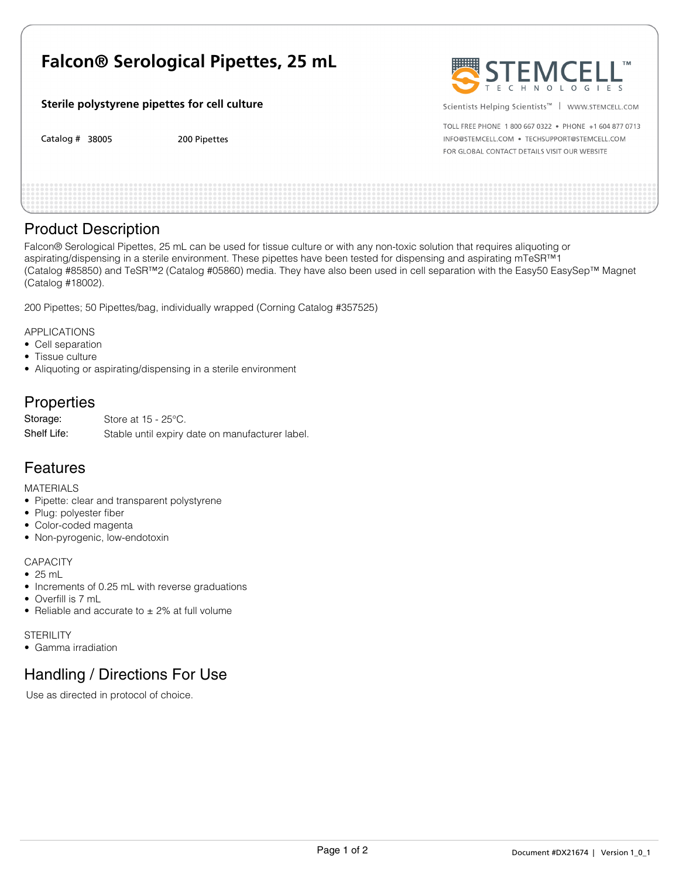# **Falcon® Serological Pipettes, 25 mL**

#### **Sterile polystyrene pipettes for cell culture**

Catalog # 38005 38005 200 Pipettes 200 Pipettes 200 Pipettes 200 Pipettes 200 Pipettes 200 Pipettes 200 Pipettes 200 Pipettes



Scientists Helping Scientists<sup>™</sup> | www.sTEMCELL.COM

TOLL FREE PHONE 1 800 667 0322 . PHONE +1 604 877 0713 INFO@STEMCELL.COM . TECHSUPPORT@STEMCELL.COM FOR GLOBAL CONTACT DETAILS VISIT OUR WEBSITE

### Product Description

Falcon® Serological Pipettes, 25 mL can be used for tissue culture or with any non-toxic solution that requires aliquoting or aspirating/dispensing in a sterile environment. These pipettes have been tested for dispensing and aspirating mTeSR™1 (Catalog #85850) and TeSR™2 (Catalog #05860) media. They have also been used in cell separation with the Easy50 EasySep™ Magnet (Catalog #18002).

200 Pipettes; 50 Pipettes/bag, individually wrapped (Corning Catalog #357525)

APPLICATIONS

- Cell separation
- Tissue culture
- Aliquoting or aspirating/dispensing in a sterile environment

# **Properties**

Store at 15 - 25°C. Stable until expiry date on manufacturer label. Storage: Shelf Life:

# Features

MATERIALS

- Pipette: clear and transparent polystyrene
- Plug: polyester fiber
- Color-coded magenta
- Non-pyrogenic, low-endotoxin

#### **CAPACITY**

- 25 mL
- Increments of 0.25 mL with reverse graduations
- Overfill is 7 mL
- Reliable and accurate to  $\pm$  2% at full volume

**STERILITY** 

• Gamma irradiation

# Handling / Directions For Use

Use as directed in protocol of choice.